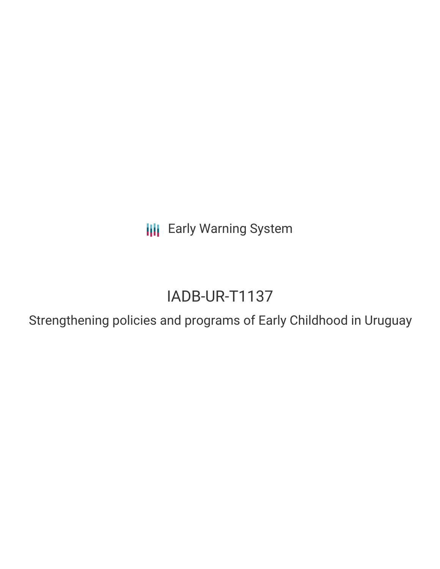**III** Early Warning System

# IADB-UR-T1137

Strengthening policies and programs of Early Childhood in Uruguay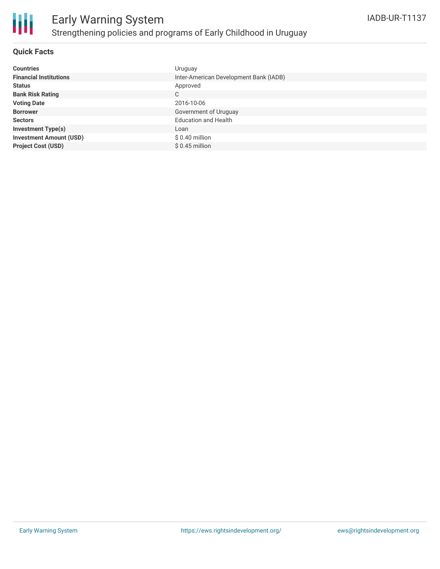

#### **Quick Facts**

| <b>Countries</b>               | Uruguay                                |
|--------------------------------|----------------------------------------|
| <b>Financial Institutions</b>  | Inter-American Development Bank (IADB) |
| <b>Status</b>                  | Approved                               |
| <b>Bank Risk Rating</b>        | C                                      |
| <b>Voting Date</b>             | 2016-10-06                             |
| <b>Borrower</b>                | Government of Uruguay                  |
| <b>Sectors</b>                 | <b>Education and Health</b>            |
| <b>Investment Type(s)</b>      | Loan                                   |
| <b>Investment Amount (USD)</b> | $$0.40$ million                        |
| <b>Project Cost (USD)</b>      | $$0.45$ million                        |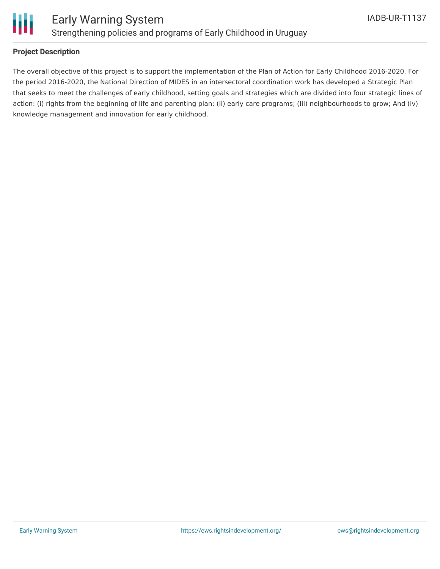

#### **Project Description**

The overall objective of this project is to support the implementation of the Plan of Action for Early Childhood 2016-2020. For the period 2016-2020, the National Direction of MIDES in an intersectoral coordination work has developed a Strategic Plan that seeks to meet the challenges of early childhood, setting goals and strategies which are divided into four strategic lines of action: (i) rights from the beginning of life and parenting plan; (Ii) early care programs; (Iii) neighbourhoods to grow; And (iv) knowledge management and innovation for early childhood.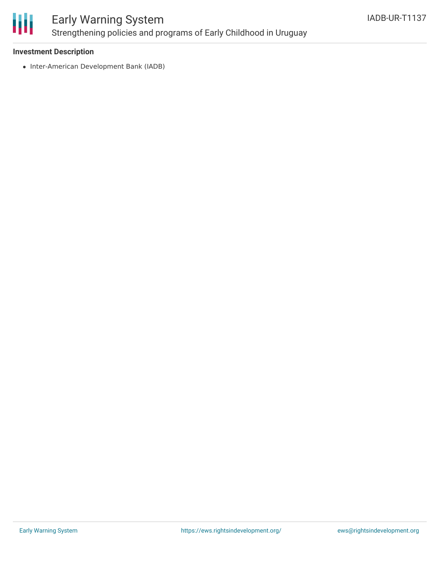

## Early Warning System Strengthening policies and programs of Early Childhood in Uruguay

#### **Investment Description**

• Inter-American Development Bank (IADB)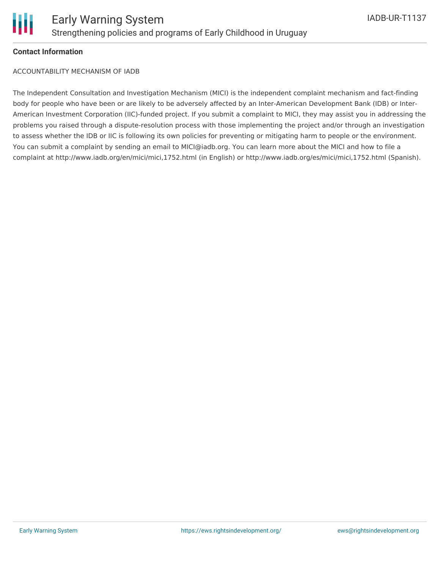#### **Contact Information**

ACCOUNTABILITY MECHANISM OF IADB

The Independent Consultation and Investigation Mechanism (MICI) is the independent complaint mechanism and fact-finding body for people who have been or are likely to be adversely affected by an Inter-American Development Bank (IDB) or Inter-American Investment Corporation (IIC)-funded project. If you submit a complaint to MICI, they may assist you in addressing the problems you raised through a dispute-resolution process with those implementing the project and/or through an investigation to assess whether the IDB or IIC is following its own policies for preventing or mitigating harm to people or the environment. You can submit a complaint by sending an email to MICI@iadb.org. You can learn more about the MICI and how to file a complaint at http://www.iadb.org/en/mici/mici,1752.html (in English) or http://www.iadb.org/es/mici/mici,1752.html (Spanish).